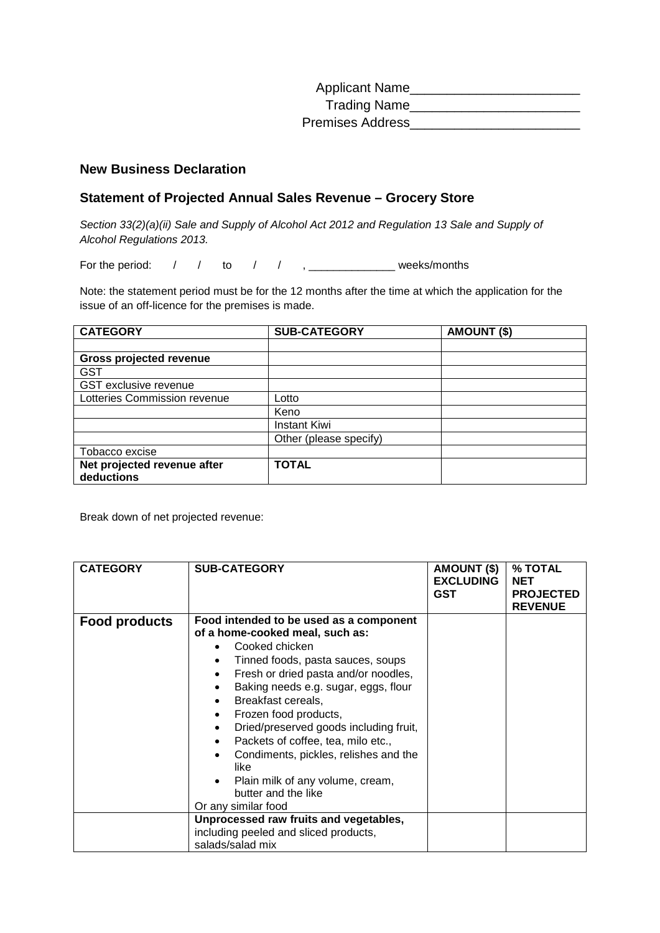| <b>Applicant Name</b>   |  |
|-------------------------|--|
| <b>Trading Name</b>     |  |
| <b>Premises Address</b> |  |

## **New Business Declaration**

## **Statement of Projected Annual Sales Revenue – Grocery Store**

*Section 33(2)(a)(ii) Sale and Supply of Alcohol Act 2012 and Regulation 13 Sale and Supply of Alcohol Regulations 2013.*

For the period:  $\begin{array}{ccc} \begin{array}{cccc} \end{array} & \begin{array}{cccc} \end{array} & \begin{array}{cccc} \end{array} & \begin{array}{cccc} \end{array} & \begin{array}{cccc} \end{array} & \begin{array}{cccc} \end{array} & \begin{array}{cccc} \end{array} & \begin{array}{cccc} \end{array} & \begin{array}{cccc} \end{array} & \begin{array}{cccc} \end{array} & \begin{array}{cccc} \end{array} & \begin{array}{cccc} \end{array} & \begin{array}{cccc} \end{array} & \begin{array}{cccc} \end{array} & \begin{array}{cccc} \end{array} & \begin$ 

Note: the statement period must be for the 12 months after the time at which the application for the issue of an off-licence for the premises is made.

| <b>CATEGORY</b>                           | <b>SUB-CATEGORY</b>    | <b>AMOUNT (\$)</b> |
|-------------------------------------------|------------------------|--------------------|
|                                           |                        |                    |
| <b>Gross projected revenue</b>            |                        |                    |
| <b>GST</b>                                |                        |                    |
| <b>GST</b> exclusive revenue              |                        |                    |
| Lotteries Commission revenue              | Lotto                  |                    |
|                                           | Keno                   |                    |
|                                           | <b>Instant Kiwi</b>    |                    |
|                                           | Other (please specify) |                    |
| Tobacco excise                            |                        |                    |
| Net projected revenue after<br>deductions | <b>TOTAL</b>           |                    |

Break down of net projected revenue:

| <b>CATEGORY</b>      | <b>SUB-CATEGORY</b>                                                                                                                                                                                                                                                                                                                                                                                                                                                                                                                     | AMOUNT (\$)<br><b>EXCLUDING</b><br><b>GST</b> | % TOTAL<br><b>NET</b><br><b>PROJECTED</b><br><b>REVENUE</b> |
|----------------------|-----------------------------------------------------------------------------------------------------------------------------------------------------------------------------------------------------------------------------------------------------------------------------------------------------------------------------------------------------------------------------------------------------------------------------------------------------------------------------------------------------------------------------------------|-----------------------------------------------|-------------------------------------------------------------|
| <b>Food products</b> | Food intended to be used as a component<br>of a home-cooked meal, such as:<br>Cooked chicken<br>Tinned foods, pasta sauces, soups<br>Fresh or dried pasta and/or noodles,<br>Baking needs e.g. sugar, eggs, flour<br>$\bullet$<br>Breakfast cereals,<br>Frozen food products,<br>$\bullet$<br>Dried/preserved goods including fruit,<br>$\bullet$<br>Packets of coffee, tea, milo etc.,<br>$\bullet$<br>Condiments, pickles, relishes and the<br>like<br>Plain milk of any volume, cream,<br>butter and the like<br>Or any similar food |                                               |                                                             |
|                      | Unprocessed raw fruits and vegetables,<br>including peeled and sliced products,<br>salads/salad mix                                                                                                                                                                                                                                                                                                                                                                                                                                     |                                               |                                                             |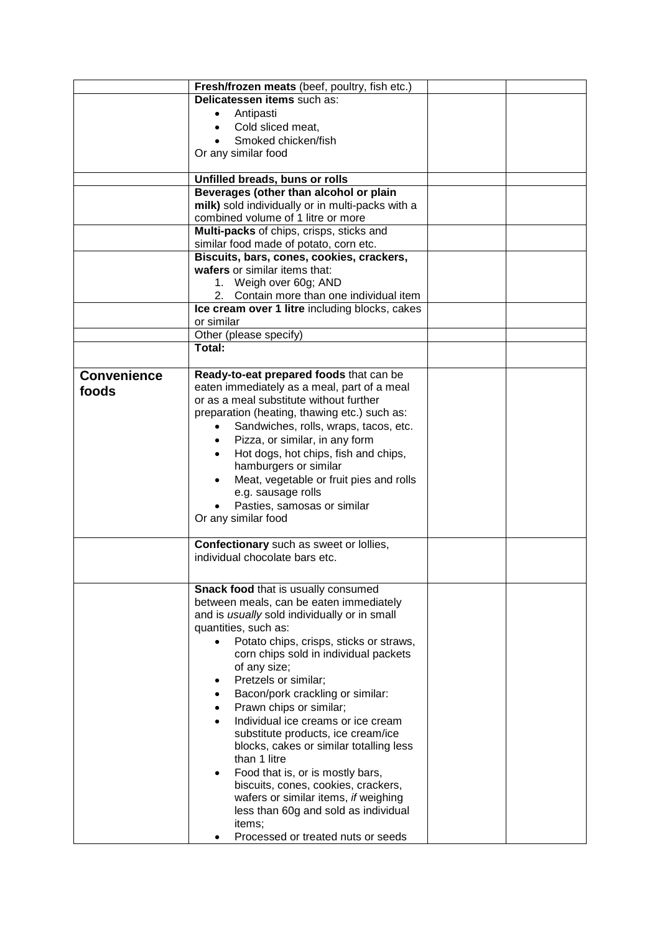|                    | Fresh/frozen meats (beef, poultry, fish etc.)        |  |
|--------------------|------------------------------------------------------|--|
|                    | Delicatessen items such as:                          |  |
|                    | Antipasti                                            |  |
|                    | Cold sliced meat,                                    |  |
|                    | Smoked chicken/fish                                  |  |
|                    | Or any similar food                                  |  |
|                    |                                                      |  |
|                    | Unfilled breads, buns or rolls                       |  |
|                    | Beverages (other than alcohol or plain               |  |
|                    | milk) sold individually or in multi-packs with a     |  |
|                    | combined volume of 1 litre or more                   |  |
|                    | Multi-packs of chips, crisps, sticks and             |  |
|                    | similar food made of potato, corn etc.               |  |
|                    | Biscuits, bars, cones, cookies, crackers,            |  |
|                    | wafers or similar items that:                        |  |
|                    | 1. Weigh over 60g; AND                               |  |
|                    | 2. Contain more than one individual item             |  |
|                    | Ice cream over 1 litre including blocks, cakes       |  |
|                    | or similar                                           |  |
|                    | Other (please specify)                               |  |
|                    | Total:                                               |  |
|                    |                                                      |  |
| <b>Convenience</b> | Ready-to-eat prepared foods that can be              |  |
| foods              | eaten immediately as a meal, part of a meal          |  |
|                    | or as a meal substitute without further              |  |
|                    | preparation (heating, thawing etc.) such as:         |  |
|                    | Sandwiches, rolls, wraps, tacos, etc.                |  |
|                    | Pizza, or similar, in any form                       |  |
|                    | Hot dogs, hot chips, fish and chips,<br>$\bullet$    |  |
|                    | hamburgers or similar                                |  |
|                    | Meat, vegetable or fruit pies and rolls<br>$\bullet$ |  |
|                    | e.g. sausage rolls                                   |  |
|                    | Pasties, samosas or similar                          |  |
|                    | Or any similar food                                  |  |
|                    |                                                      |  |
|                    | Confectionary such as sweet or lollies,              |  |
|                    | individual chocolate bars etc.                       |  |
|                    |                                                      |  |
|                    | Snack food that is usually consumed                  |  |
|                    | between meals, can be eaten immediately              |  |
|                    | and is usually sold individually or in small         |  |
|                    | quantities, such as:                                 |  |
|                    | Potato chips, crisps, sticks or straws,              |  |
|                    | corn chips sold in individual packets                |  |
|                    | of any size;                                         |  |
|                    | Pretzels or similar;                                 |  |
|                    | Bacon/pork crackling or similar:<br>$\bullet$        |  |
|                    | Prawn chips or similar;<br>$\bullet$                 |  |
|                    | Individual ice creams or ice cream<br>$\bullet$      |  |
|                    | substitute products, ice cream/ice                   |  |
|                    | blocks, cakes or similar totalling less              |  |
|                    | than 1 litre                                         |  |
|                    | Food that is, or is mostly bars,<br>$\bullet$        |  |
|                    | biscuits, cones, cookies, crackers,                  |  |
|                    | wafers or similar items, if weighing                 |  |
|                    | less than 60g and sold as individual                 |  |
|                    | items;                                               |  |
|                    | Processed or treated nuts or seeds                   |  |